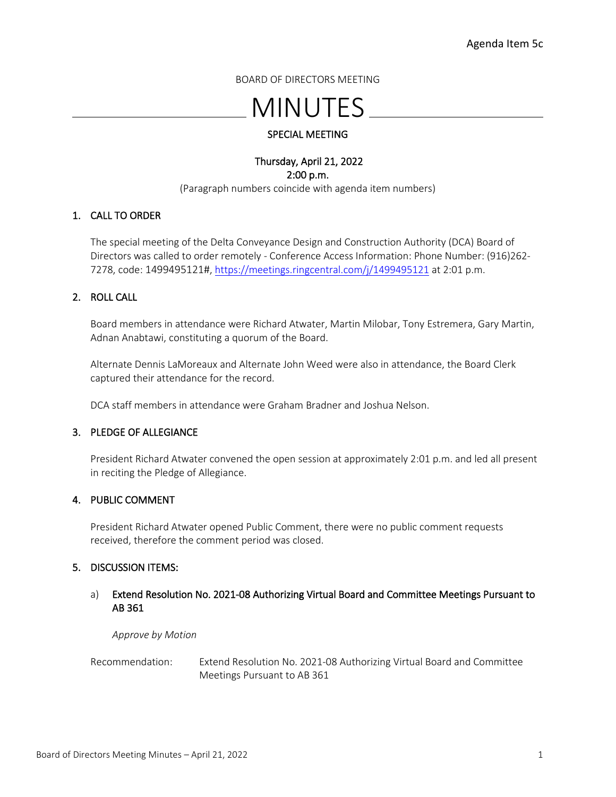BOARD OF DIRECTORS MEETING

# MINUTES

### SPECIAL MEETING

#### Thursday, April 21, 2022 2:00 p.m. (Paragraph numbers coincide with agenda item numbers)

#### 1. CALL TO ORDER

The special meeting of the Delta Conveyance Design and Construction Authority (DCA) Board of Directors was called to order remotely - Conference Access Information: Phone Number: (916)262- 7278, code: 1499495121#, <https://meetings.ringcentral.com/j/1499495121> at 2:01 p.m.

### 2. ROLL CALL

Board members in attendance were Richard Atwater, Martin Milobar, Tony Estremera, Gary Martin, Adnan Anabtawi, constituting a quorum of the Board.

Alternate Dennis LaMoreaux and Alternate John Weed were also in attendance, the Board Clerk captured their attendance for the record.

DCA staff members in attendance were Graham Bradner and Joshua Nelson.

#### 3. PLEDGE OF ALLEGIANCE

President Richard Atwater convened the open session at approximately 2:01 p.m. and led all present in reciting the Pledge of Allegiance.

#### 4. PUBLIC COMMENT

President Richard Atwater opened Public Comment, there were no public comment requests received, therefore the comment period was closed.

#### 5. DISCUSSION ITEMS:

#### a) Extend Resolution No. 2021-08 Authorizing Virtual Board and Committee Meetings Pursuant to AB 361

*Approve by Motion*

Recommendation: Extend Resolution No. 2021-08 Authorizing Virtual Board and Committee Meetings Pursuant to AB 361